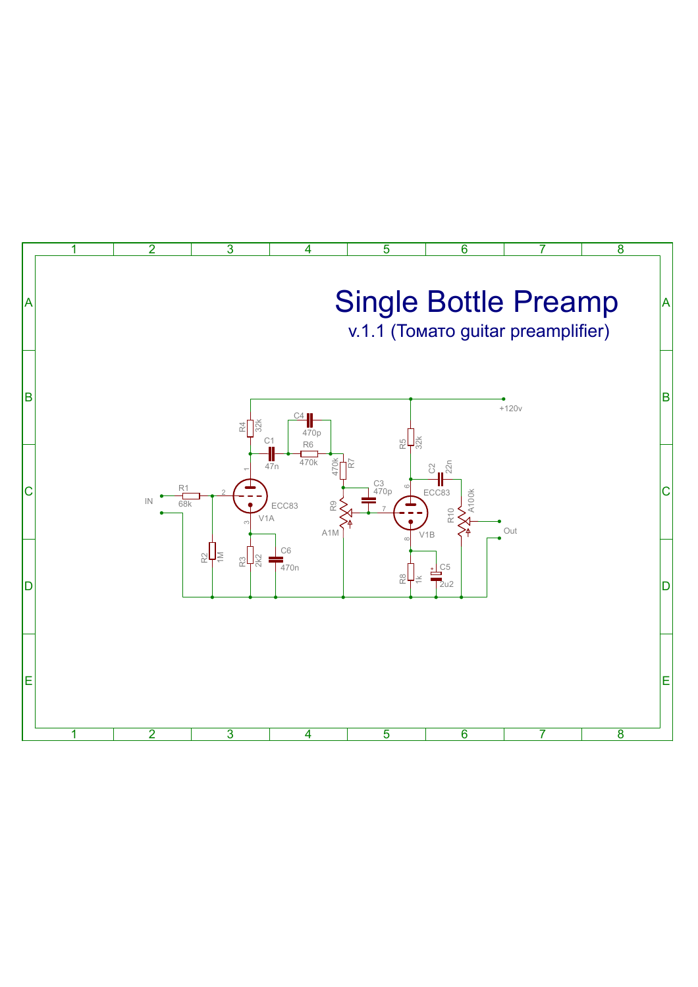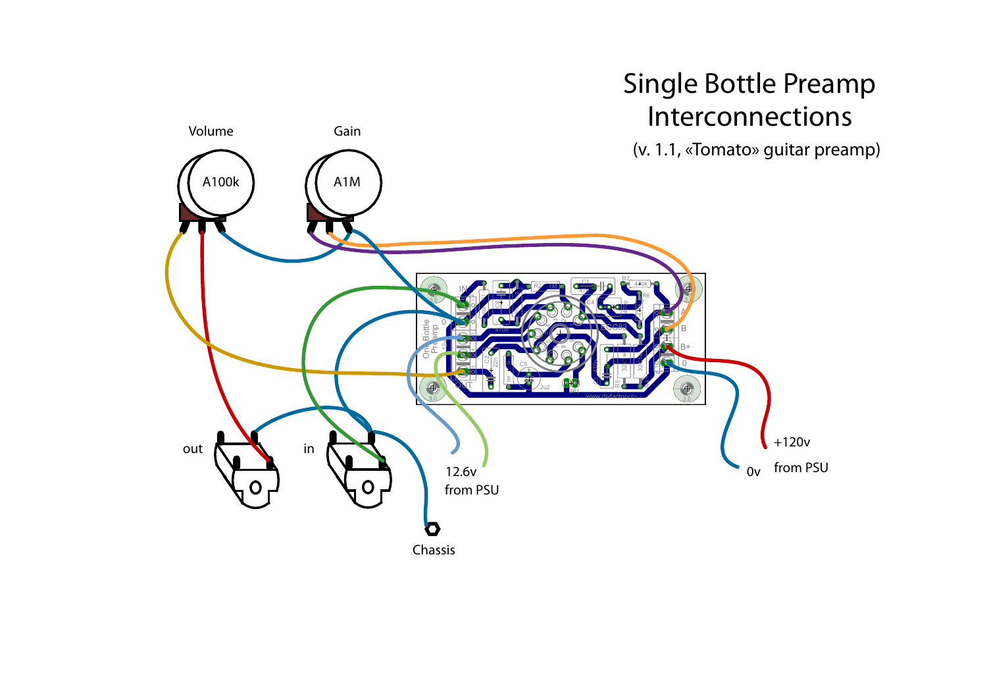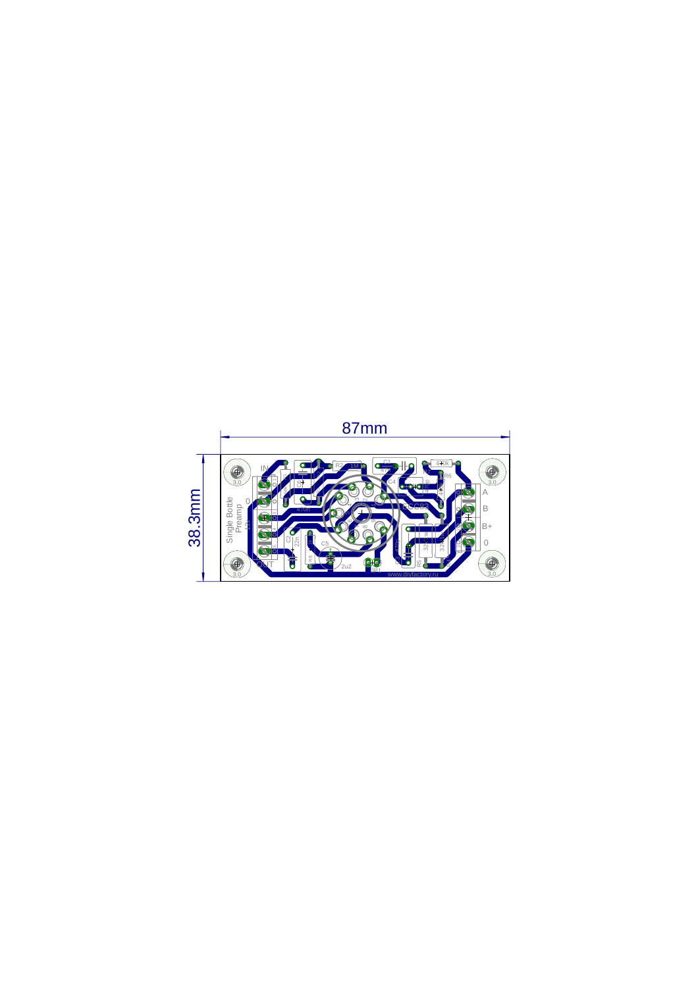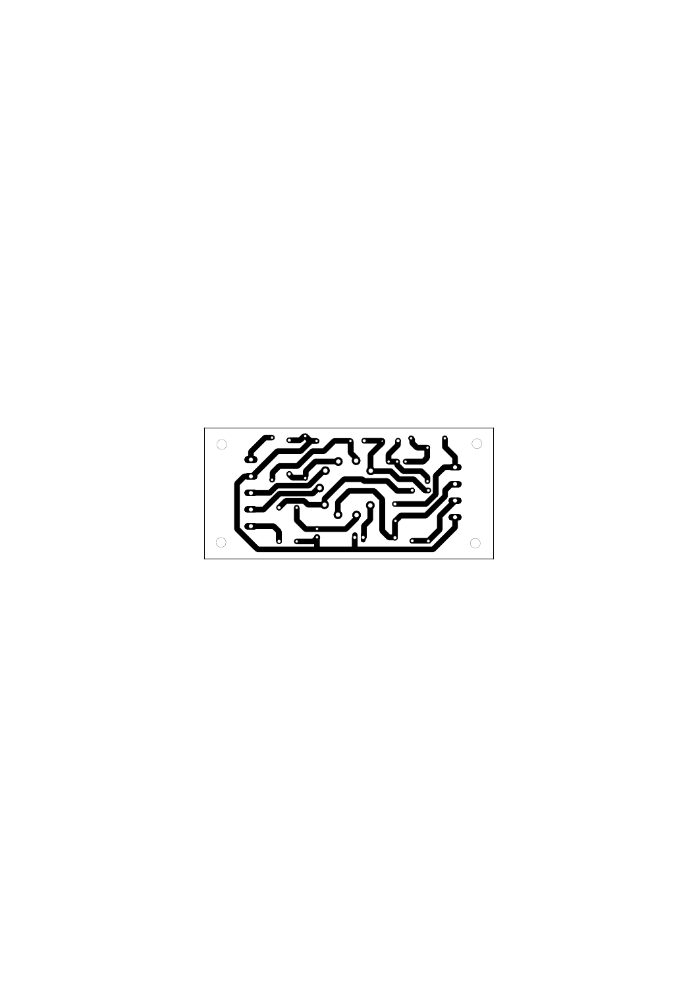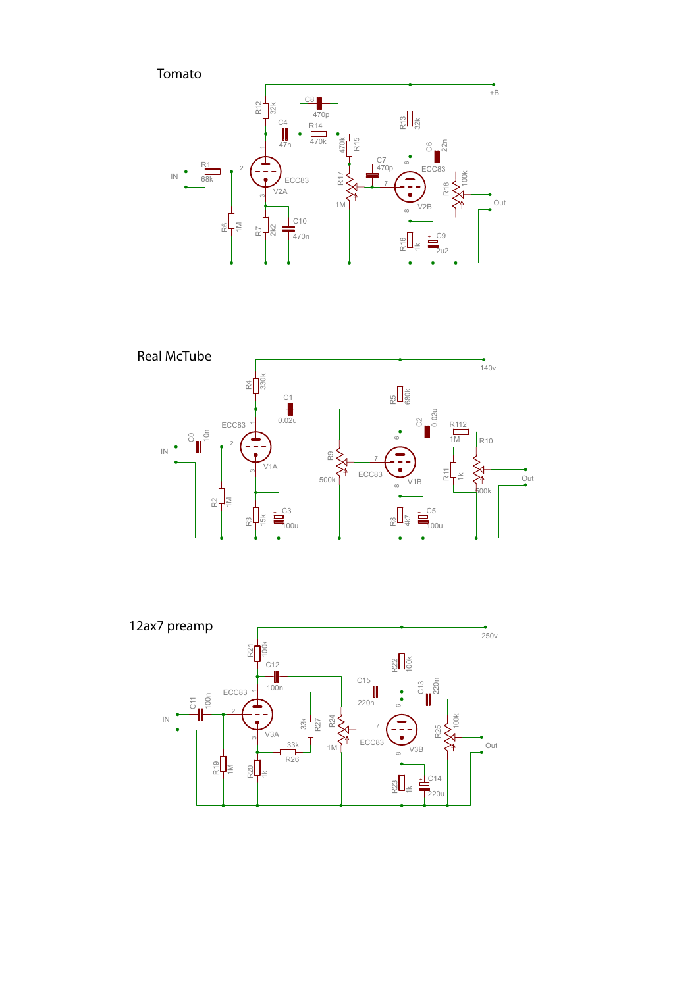Tomato